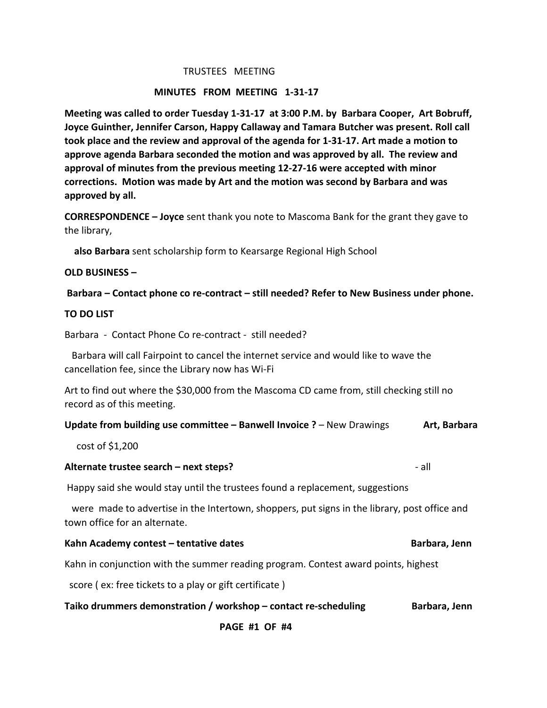### TRUSTEES MEETING

## **MINUTES FROM MEETING 1-31-17**

Meeting was called to order Tuesday 1-31-17 at 3:00 P.M. by Barbara Cooper, Art Bobruff, **Joyce Guinther, Jennifer Carson, Happy Callaway and Tamara Butcher was present. Roll call took place and the review and approval of the agenda for 1-31-17. Art made a motion to approve agenda Barbara seconded the motion and was approved by all. The review and** approval of minutes from the previous meeting 12-27-16 were accepted with minor corrections. Motion was made by Art and the motion was second by Barbara and was approved by all.

**CORRESPONDENCE – Joyce** sent thank you note to Mascoma Bank for the grant they gave to the library,

**also Barbara** sent scholarship form to Kearsarge Regional High School

### **OLD BUSINESS –**

**Barbara – Contact phone co re-contract – still needed? Refer to New Business under phone.** 

## **TO DO LIST**

Barbara - Contact Phone Co re-contract - still needed?

Barbara will call Fairpoint to cancel the internet service and would like to wave the cancellation fee, since the Library now has Wi-Fi

Art to find out where the \$30,000 from the Mascoma CD came from, still checking still no record as of this meeting.

#### **Update from building use committee – Banwell Invoice ?** – New Drawings **Art, Barbara**

 $cost of $1,200$ 

### **Alternate trustee search – next steps?** - all

Happy said she would stay until the trustees found a replacement, suggestions

were made to advertise in the Intertown, shoppers, put signs in the library, post office and town office for an alternate. 

| Kahn Academy contest - tentative dates | Barbara, Jenn |
|----------------------------------------|---------------|
|----------------------------------------|---------------|

Kahn in conjunction with the summer reading program. Contest award points, highest

score ( ex: free tickets to a play or gift certificate )

|  | Taiko drummers demonstration / workshop - contact re-scheduling | Barbara, Jenn |
|--|-----------------------------------------------------------------|---------------|
|--|-----------------------------------------------------------------|---------------|

## **PAGE #1 OF #4**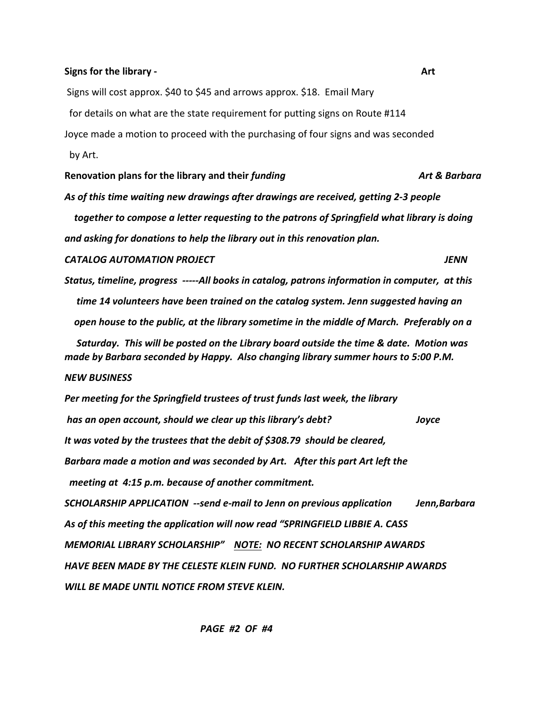#### Signs for the library - **Actival Active Active Active Active Active Active Active Active Active Active Active Active Active Active Active Active Active Active Active Active Active Active Active Active Active Active Active**

Signs will cost approx. \$40 to \$45 and arrows approx. \$18. Email Mary

for details on what are the state requirement for putting signs on Route #114

Joyce made a motion to proceed with the purchasing of four signs and was seconded by Art.

**Renovation plans for the library and their** *funding Art & Barbara*

As of this time waiting new drawings after drawings are received, getting 2-3 people  *together to compose a letter requesting to the patrons of Springfield what library is doing and asking for donations to help the library out in this renovation plan.* 

*CATALOG AUTOMATION PROJECT JENN*

*Status, timeline, progress -----All books in catalog, patrons information in computer, at this time 14 volunteers have been trained on the catalog system. Jenn suggested having an open house to the public, at the library sometime in the middle of March. Preferably on a* Saturday. This will be posted on the Library board outside the time & date. Motion was made by Barbara seconded by Happy. Also changing library summer hours to 5:00 P.M.

#### *NEW BUSINESS*

**Per meeting for the Springfield trustees of trust funds last week, the library** *has an open account, should we clear up this library's debt? Joyce* It was voted by the trustees that the debit of \$308.79 should be cleared, **Barbara made a motion and was seconded by Art.** After this part Art left the *meeting at 4:15 p.m. because of another commitment.* **SCHOLARSHIP APPLICATION** --send e-mail to Jenn on previous application Jenn,Barbara As of this meeting the application will now read "SPRINGFIELD LIBBIE A. CASS *MEMORIAL LIBRARY SCHOLARSHIP" NOTE: NO RECENT SCHOLARSHIP AWARDS* HAVE BEEN MADE BY THE CELESTE KLEIN FUND. NO FURTHER SCHOLARSHIP AWARDS WILL BE MADE UNTIL NOTICE FROM STEVE KLEIN.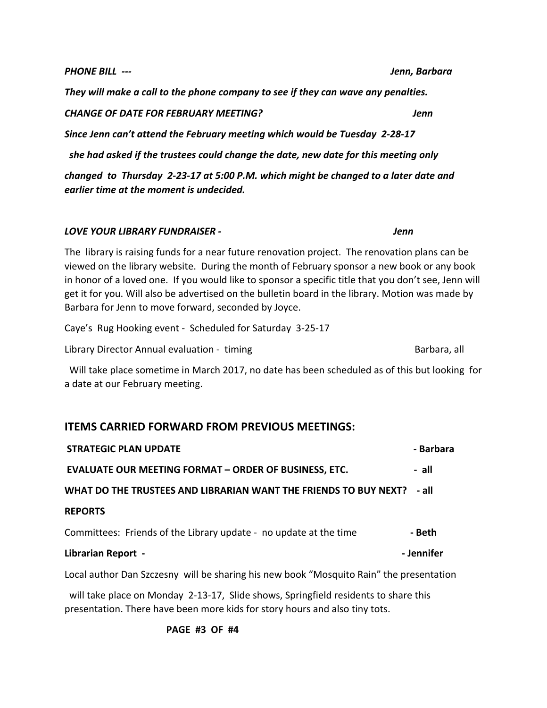**PAGE #3 OF #4** 

presentation. There have been more kids for story hours and also tiny tots.

*They* will make a call to the phone company to see if they can wave any penalties.

*CHANGE OF DATE FOR FEBRUARY MEETING? Jenn*

Since Jenn can't attend the February meeting which would be Tuesday 2-28-17

*she had asked if the trustees could change the date, new date for this meeting only* 

*changed* to Thursday 2-23-17 at 5:00 P.M. which might be changed to a later date and *earlier time at the moment is undecided.* 

## *LOVE* YOUR LIBRARY FUNDRAISER - *Information Jenn*

The library is raising funds for a near future renovation project. The renovation plans can be viewed on the library website. During the month of February sponsor a new book or any book in honor of a loved one. If you would like to sponsor a specific title that you don't see, Jenn will get it for you. Will also be advertised on the bulletin board in the library. Motion was made by Barbara for Jenn to move forward, seconded by Joyce.

Caye's Rug Hooking event - Scheduled for Saturday 3-25-17

Library Director Annual evaluation - timing and the controller controller and the Barbara, all

Will take place sometime in March 2017, no date has been scheduled as of this but looking for a date at our February meeting.

# **ITEMS CARRIED FORWARD FROM PREVIOUS MEETINGS:**

| <b>STRATEGIC PLAN UPDATE</b>                                                            | - Barbara  |  |
|-----------------------------------------------------------------------------------------|------------|--|
| <b>EVALUATE OUR MEETING FORMAT - ORDER OF BUSINESS, ETC.</b>                            | - all      |  |
| WHAT DO THE TRUSTEES AND LIBRARIAN WANT THE FRIENDS TO BUY NEXT?                        | - all      |  |
| <b>REPORTS</b>                                                                          |            |  |
| Committees: Friends of the Library update - no update at the time                       | - Beth     |  |
| <b>Librarian Report -</b>                                                               | - Jennifer |  |
| Local author Dan Szczesny will be sharing his new book "Mosquito Rain" the presentation |            |  |
| will take place on Monday 2-13-17, Slide shows, Springfield residents to share this     |            |  |

*PHONE BILL* ---